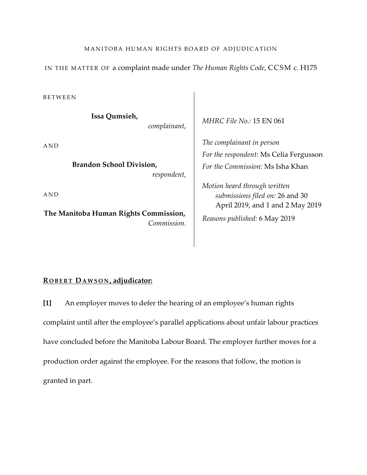#### MANITOBA HUMAN RIGHTS BOARD OF ADJUDICATION

IN THE MATTER OF a complaint made under *The Human Rights Code*, CCSM c. H175

BETWEEN

**Issa Qumsieh,**

*complainant*,

AND

**Brandon School Division,**  *respondent,*

AND

**The Manitoba Human Rights Commission,** *Commission.* *MHRC File No.:* 15 EN 061

*The complainant in person For the respondent*: Ms Celia Fergusson *For the Commission:* Ms Isha Khan

*Motion heard through written submissions filed on:* 26 and 30 April 2019, and 1 and 2 May 2019 *Reasons published:* 6 May 2019

# **R OBERT DAWSON , adjudicator:**

**[1]** An employer moves to defer the hearing of an employee's human rights complaint until after the employee's parallel applications about unfair labour practices have concluded before the Manitoba Labour Board. The employer further moves for a production order against the employee. For the reasons that follow, the motion is granted in part.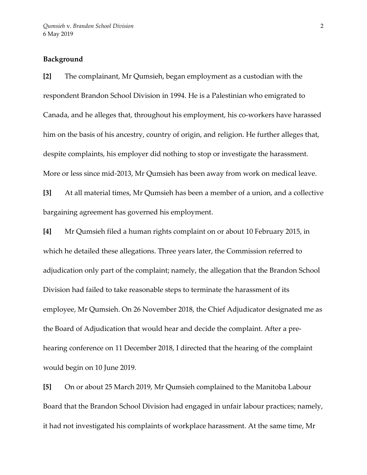# **Background**

**[2]** The complainant, Mr Qumsieh, began employment as a custodian with the respondent Brandon School Division in 1994. He is a Palestinian who emigrated to Canada, and he alleges that, throughout his employment, his co-workers have harassed him on the basis of his ancestry, country of origin, and religion. He further alleges that, despite complaints, his employer did nothing to stop or investigate the harassment. More or less since mid-2013, Mr Qumsieh has been away from work on medical leave.

**[3]** At all material times, Mr Qumsieh has been a member of a union, and a collective bargaining agreement has governed his employment.

**[4]** Mr Qumsieh filed a human rights complaint on or about 10 February 2015, in which he detailed these allegations. Three years later, the Commission referred to adjudication only part of the complaint; namely, the allegation that the Brandon School Division had failed to take reasonable steps to terminate the harassment of its employee, Mr Qumsieh. On 26 November 2018, the Chief Adjudicator designated me as the Board of Adjudication that would hear and decide the complaint. After a prehearing conference on 11 December 2018, I directed that the hearing of the complaint would begin on 10 June 2019.

**[5]** On or about 25 March 2019, Mr Qumsieh complained to the Manitoba Labour Board that the Brandon School Division had engaged in unfair labour practices; namely, it had not investigated his complaints of workplace harassment. At the same time, Mr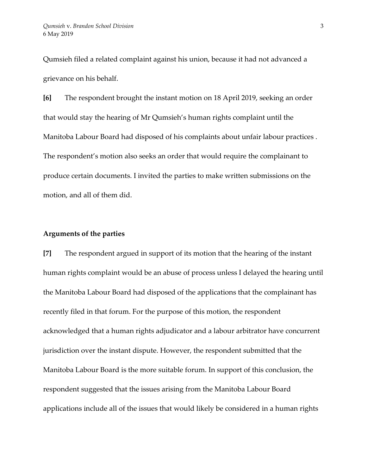Qumsieh filed a related complaint against his union, because it had not advanced a grievance on his behalf.

**[6]** The respondent brought the instant motion on 18 April 2019, seeking an order that would stay the hearing of Mr Qumsieh's human rights complaint until the Manitoba Labour Board had disposed of his complaints about unfair labour practices . The respondent's motion also seeks an order that would require the complainant to produce certain documents. I invited the parties to make written submissions on the motion, and all of them did.

#### **Arguments of the parties**

**[7]** The respondent argued in support of its motion that the hearing of the instant human rights complaint would be an abuse of process unless I delayed the hearing until the Manitoba Labour Board had disposed of the applications that the complainant has recently filed in that forum. For the purpose of this motion, the respondent acknowledged that a human rights adjudicator and a labour arbitrator have concurrent jurisdiction over the instant dispute. However, the respondent submitted that the Manitoba Labour Board is the more suitable forum. In support of this conclusion, the respondent suggested that the issues arising from the Manitoba Labour Board applications include all of the issues that would likely be considered in a human rights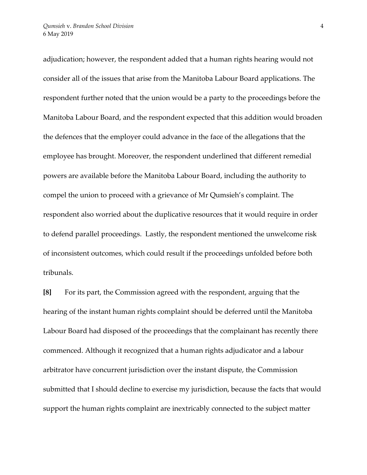adjudication; however, the respondent added that a human rights hearing would not consider all of the issues that arise from the Manitoba Labour Board applications. The respondent further noted that the union would be a party to the proceedings before the Manitoba Labour Board, and the respondent expected that this addition would broaden the defences that the employer could advance in the face of the allegations that the employee has brought. Moreover, the respondent underlined that different remedial powers are available before the Manitoba Labour Board, including the authority to compel the union to proceed with a grievance of Mr Qumsieh's complaint. The respondent also worried about the duplicative resources that it would require in order to defend parallel proceedings. Lastly, the respondent mentioned the unwelcome risk of inconsistent outcomes, which could result if the proceedings unfolded before both tribunals.

**[8]** For its part, the Commission agreed with the respondent, arguing that the hearing of the instant human rights complaint should be deferred until the Manitoba Labour Board had disposed of the proceedings that the complainant has recently there commenced. Although it recognized that a human rights adjudicator and a labour arbitrator have concurrent jurisdiction over the instant dispute, the Commission submitted that I should decline to exercise my jurisdiction, because the facts that would support the human rights complaint are inextricably connected to the subject matter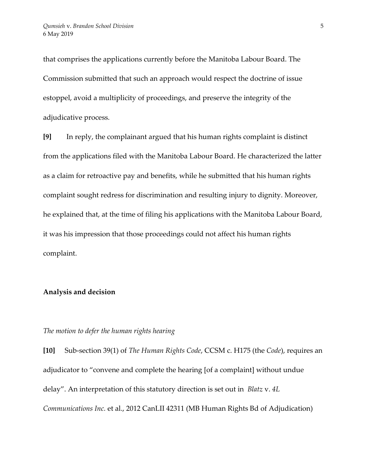that comprises the applications currently before the Manitoba Labour Board. The Commission submitted that such an approach would respect the doctrine of issue estoppel, avoid a multiplicity of proceedings, and preserve the integrity of the adjudicative process.

**[9]** In reply, the complainant argued that his human rights complaint is distinct from the applications filed with the Manitoba Labour Board. He characterized the latter as a claim for retroactive pay and benefits, while he submitted that his human rights complaint sought redress for discrimination and resulting injury to dignity. Moreover, he explained that, at the time of filing his applications with the Manitoba Labour Board, it was his impression that those proceedings could not affect his human rights complaint.

# **Analysis and decision**

## *The motion to defer the human rights hearing*

**[10]** Sub-section 39(1) of *The Human Rights Code*, CCSM c. H175 (the *Code*), requires an adjudicator to "convene and complete the hearing [of a complaint] without undue delay". An interpretation of this statutory direction is set out in *Blatz* v. *4L Communications Inc.* et al., 2012 CanLII 42311 (MB Human Rights Bd of Adjudication)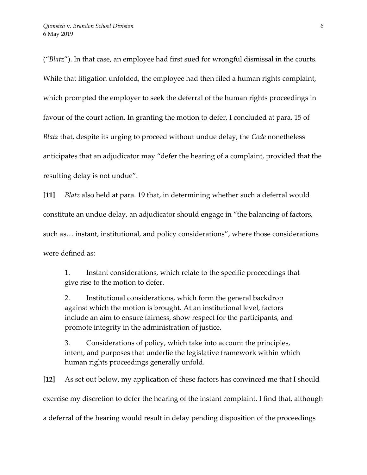("*Blatz*"). In that case, an employee had first sued for wrongful dismissal in the courts. While that litigation unfolded, the employee had then filed a human rights complaint, which prompted the employer to seek the deferral of the human rights proceedings in favour of the court action. In granting the motion to defer, I concluded at para. 15 of *Blatz* that, despite its urging to proceed without undue delay, the *Code* nonetheless anticipates that an adjudicator may "defer the hearing of a complaint, provided that the resulting delay is not undue".

**[11]** *Blatz* also held at para. 19 that, in determining whether such a deferral would constitute an undue delay, an adjudicator should engage in "the balancing of factors, such as… instant, institutional, and policy considerations", where those considerations were defined as:

1. Instant considerations, which relate to the specific proceedings that give rise to the motion to defer.

2. Institutional considerations, which form the general backdrop against which the motion is brought. At an institutional level, factors include an aim to ensure fairness, show respect for the participants, and promote integrity in the administration of justice.

3. Considerations of policy, which take into account the principles, intent, and purposes that underlie the legislative framework within which human rights proceedings generally unfold.

**[12]** As set out below, my application of these factors has convinced me that I should exercise my discretion to defer the hearing of the instant complaint. I find that, although a deferral of the hearing would result in delay pending disposition of the proceedings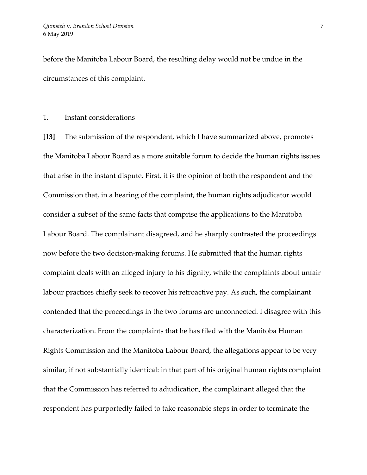before the Manitoba Labour Board, the resulting delay would not be undue in the circumstances of this complaint.

# 1. Instant considerations

**[13]** The submission of the respondent, which I have summarized above, promotes the Manitoba Labour Board as a more suitable forum to decide the human rights issues that arise in the instant dispute. First, it is the opinion of both the respondent and the Commission that, in a hearing of the complaint, the human rights adjudicator would consider a subset of the same facts that comprise the applications to the Manitoba Labour Board. The complainant disagreed, and he sharply contrasted the proceedings now before the two decision-making forums. He submitted that the human rights complaint deals with an alleged injury to his dignity, while the complaints about unfair labour practices chiefly seek to recover his retroactive pay. As such, the complainant contended that the proceedings in the two forums are unconnected. I disagree with this characterization. From the complaints that he has filed with the Manitoba Human Rights Commission and the Manitoba Labour Board, the allegations appear to be very similar, if not substantially identical: in that part of his original human rights complaint that the Commission has referred to adjudication, the complainant alleged that the respondent has purportedly failed to take reasonable steps in order to terminate the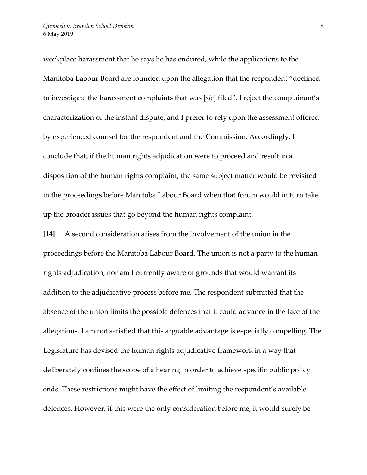workplace harassment that he says he has endured, while the applications to the Manitoba Labour Board are founded upon the allegation that the respondent "declined to investigate the harassment complaints that was [*sic*] filed". I reject the complainant's characterization of the instant dispute, and I prefer to rely upon the assessment offered by experienced counsel for the respondent and the Commission. Accordingly, I conclude that, if the human rights adjudication were to proceed and result in a disposition of the human rights complaint, the same subject matter would be revisited in the proceedings before Manitoba Labour Board when that forum would in turn take up the broader issues that go beyond the human rights complaint.

**[14]** A second consideration arises from the involvement of the union in the proceedings before the Manitoba Labour Board. The union is not a party to the human rights adjudication, nor am I currently aware of grounds that would warrant its addition to the adjudicative process before me. The respondent submitted that the absence of the union limits the possible defences that it could advance in the face of the allegations. I am not satisfied that this arguable advantage is especially compelling. The Legislature has devised the human rights adjudicative framework in a way that deliberately confines the scope of a hearing in order to achieve specific public policy ends. These restrictions might have the effect of limiting the respondent's available defences. However, if this were the only consideration before me, it would surely be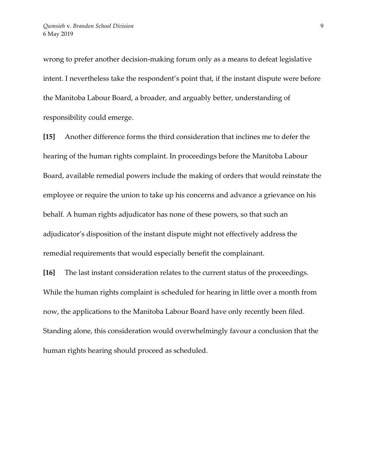wrong to prefer another decision-making forum only as a means to defeat legislative intent. I nevertheless take the respondent's point that, if the instant dispute were before the Manitoba Labour Board, a broader, and arguably better, understanding of responsibility could emerge.

**[15]** Another difference forms the third consideration that inclines me to defer the hearing of the human rights complaint. In proceedings before the Manitoba Labour Board, available remedial powers include the making of orders that would reinstate the employee or require the union to take up his concerns and advance a grievance on his behalf. A human rights adjudicator has none of these powers, so that such an adjudicator's disposition of the instant dispute might not effectively address the remedial requirements that would especially benefit the complainant.

**[16]** The last instant consideration relates to the current status of the proceedings. While the human rights complaint is scheduled for hearing in little over a month from now, the applications to the Manitoba Labour Board have only recently been filed. Standing alone, this consideration would overwhelmingly favour a conclusion that the human rights hearing should proceed as scheduled.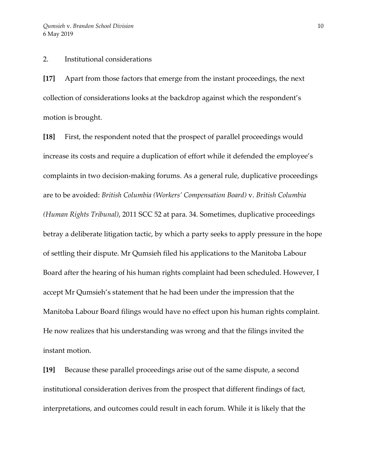2. Institutional considerations

**[17]** Apart from those factors that emerge from the instant proceedings, the next collection of considerations looks at the backdrop against which the respondent's motion is brought.

**[18]** First, the respondent noted that the prospect of parallel proceedings would increase its costs and require a duplication of effort while it defended the employee's complaints in two decision-making forums. As a general rule, duplicative proceedings are to be avoided: *British Columbia (Workers' Compensation Board)* v. *British Columbia (Human Rights Tribunal)*, 2011 SCC 52 at para. 34. Sometimes, duplicative proceedings betray a deliberate litigation tactic, by which a party seeks to apply pressure in the hope of settling their dispute. Mr Qumsieh filed his applications to the Manitoba Labour Board after the hearing of his human rights complaint had been scheduled. However, I accept Mr Qumsieh's statement that he had been under the impression that the Manitoba Labour Board filings would have no effect upon his human rights complaint. He now realizes that his understanding was wrong and that the filings invited the instant motion.

**[19]** Because these parallel proceedings arise out of the same dispute, a second institutional consideration derives from the prospect that different findings of fact, interpretations, and outcomes could result in each forum. While it is likely that the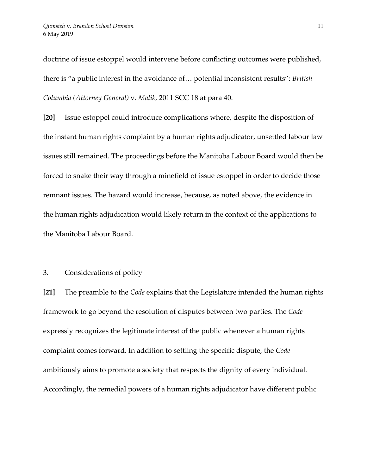doctrine of issue estoppel would intervene before conflicting outcomes were published, there is "a public interest in the avoidance of… potential inconsistent results": *British Columbia (Attorney General)* v. *Malik*, 2011 SCC 18 at para 40.

**[20]** Issue estoppel could introduce complications where, despite the disposition of the instant human rights complaint by a human rights adjudicator, unsettled labour law issues still remained. The proceedings before the Manitoba Labour Board would then be forced to snake their way through a minefield of issue estoppel in order to decide those remnant issues. The hazard would increase, because, as noted above, the evidence in the human rights adjudication would likely return in the context of the applications to the Manitoba Labour Board.

## 3. Considerations of policy

**[21]** The preamble to the *Code* explains that the Legislature intended the human rights framework to go beyond the resolution of disputes between two parties. The *Code* expressly recognizes the legitimate interest of the public whenever a human rights complaint comes forward. In addition to settling the specific dispute, the *Code* ambitiously aims to promote a society that respects the dignity of every individual. Accordingly, the remedial powers of a human rights adjudicator have different public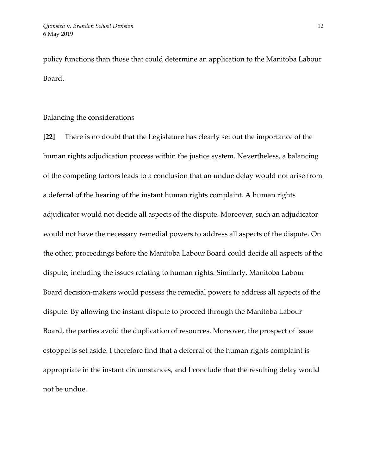policy functions than those that could determine an application to the Manitoba Labour Board.

Balancing the considerations

**[22]** There is no doubt that the Legislature has clearly set out the importance of the human rights adjudication process within the justice system. Nevertheless, a balancing of the competing factors leads to a conclusion that an undue delay would not arise from a deferral of the hearing of the instant human rights complaint. A human rights adjudicator would not decide all aspects of the dispute. Moreover, such an adjudicator would not have the necessary remedial powers to address all aspects of the dispute. On the other, proceedings before the Manitoba Labour Board could decide all aspects of the dispute, including the issues relating to human rights. Similarly, Manitoba Labour Board decision-makers would possess the remedial powers to address all aspects of the dispute. By allowing the instant dispute to proceed through the Manitoba Labour Board, the parties avoid the duplication of resources. Moreover, the prospect of issue estoppel is set aside. I therefore find that a deferral of the human rights complaint is appropriate in the instant circumstances, and I conclude that the resulting delay would not be undue.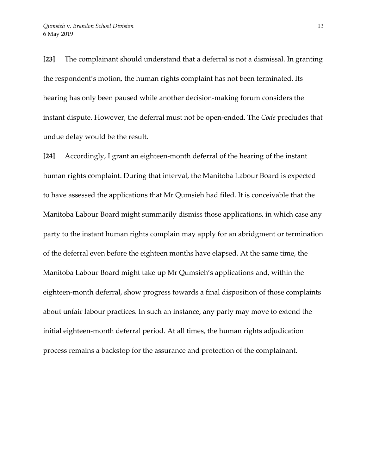**[23]** The complainant should understand that a deferral is not a dismissal. In granting the respondent's motion, the human rights complaint has not been terminated. Its hearing has only been paused while another decision-making forum considers the instant dispute. However, the deferral must not be open-ended. The *Code* precludes that undue delay would be the result.

**[24]** Accordingly, I grant an eighteen-month deferral of the hearing of the instant human rights complaint. During that interval, the Manitoba Labour Board is expected to have assessed the applications that Mr Qumsieh had filed. It is conceivable that the Manitoba Labour Board might summarily dismiss those applications, in which case any party to the instant human rights complain may apply for an abridgment or termination of the deferral even before the eighteen months have elapsed. At the same time, the Manitoba Labour Board might take up Mr Qumsieh's applications and, within the eighteen-month deferral, show progress towards a final disposition of those complaints about unfair labour practices. In such an instance, any party may move to extend the initial eighteen-month deferral period. At all times, the human rights adjudication process remains a backstop for the assurance and protection of the complainant.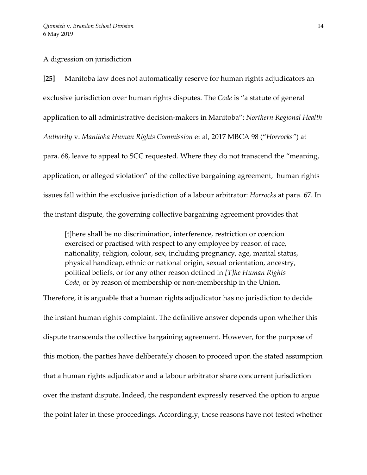#### A digression on jurisdiction

**[25]** Manitoba law does not automatically reserve for human rights adjudicators an exclusive jurisdiction over human rights disputes. The *Code* is "a statute of general application to all administrative decision-makers in Manitoba": *Northern Regional Health Authority* v. *Manitoba Human Rights Commission* et al, 2017 MBCA 98 ("*Horrocks"*) at para. 68, leave to appeal to SCC requested. Where they do not transcend the "meaning, application, or alleged violation" of the collective bargaining agreement, human rights issues fall within the exclusive jurisdiction of a labour arbitrator: *Horrocks* at para. 67. In the instant dispute, the governing collective bargaining agreement provides that

[t]here shall be no discrimination, interference, restriction or coercion exercised or practised with respect to any employee by reason of race, nationality, religion, colour, sex, including pregnancy, age, marital status, physical handicap, ethnic or national origin, sexual orientation, ancestry, political beliefs, or for any other reason defined in *[T]he Human Rights Code*, or by reason of membership or non-membership in the Union.

Therefore, it is arguable that a human rights adjudicator has no jurisdiction to decide the instant human rights complaint. The definitive answer depends upon whether this dispute transcends the collective bargaining agreement. However, for the purpose of this motion, the parties have deliberately chosen to proceed upon the stated assumption that a human rights adjudicator and a labour arbitrator share concurrent jurisdiction over the instant dispute. Indeed, the respondent expressly reserved the option to argue the point later in these proceedings. Accordingly, these reasons have not tested whether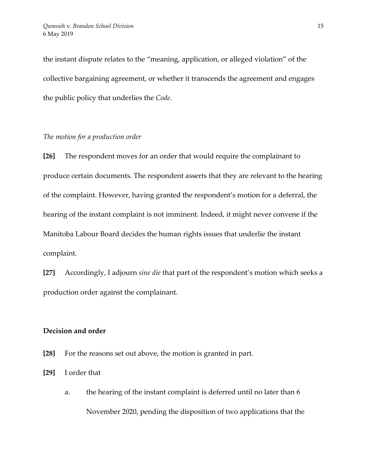the instant dispute relates to the "meaning, application, or alleged violation" of the collective bargaining agreement, or whether it transcends the agreement and engages the public policy that underlies the *Code*.

## *The motion for a production order*

**[26]** The respondent moves for an order that would require the complainant to produce certain documents. The respondent asserts that they are relevant to the hearing of the complaint. However, having granted the respondent's motion for a deferral, the hearing of the instant complaint is not imminent. Indeed, it might never convene if the Manitoba Labour Board decides the human rights issues that underlie the instant complaint.

**[27]** Accordingly, I adjourn *sine die* that part of the respondent's motion which seeks a production order against the complainant.

# **Decision and order**

- **[28]** For the reasons set out above, the motion is granted in part.
- **[29]** I order that
	- a. the hearing of the instant complaint is deferred until no later than 6 November 2020, pending the disposition of two applications that the